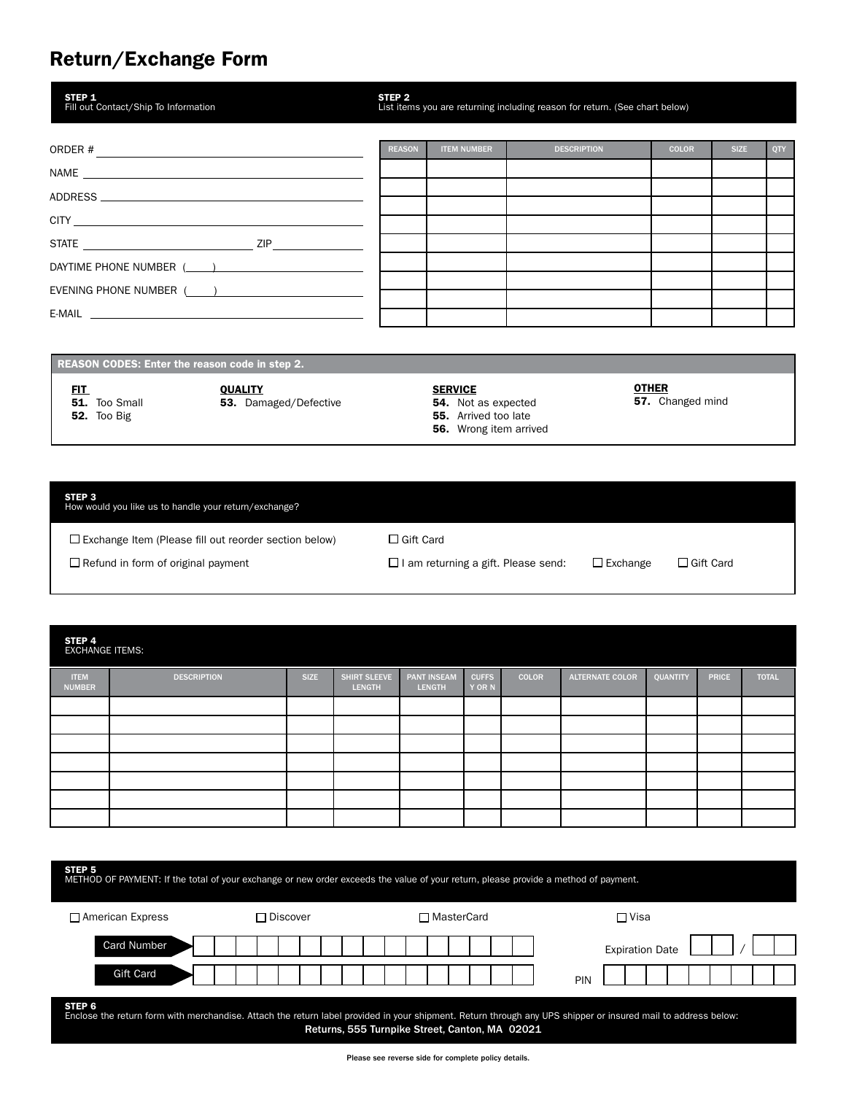## Return/Exchange Form

| STEP <sub>1</sub><br>Fill out Contact/Ship To Information                                                                                                                                                                            | STEP <sub>2</sub> | List items you are returning including reason for return. (See chart below) |                    |              |             |     |  |  |
|--------------------------------------------------------------------------------------------------------------------------------------------------------------------------------------------------------------------------------------|-------------------|-----------------------------------------------------------------------------|--------------------|--------------|-------------|-----|--|--|
|                                                                                                                                                                                                                                      | <b>REASON</b>     | <b>ITEM NUMBER</b>                                                          | <b>DESCRIPTION</b> | <b>COLOR</b> | <b>SIZE</b> | QTY |  |  |
|                                                                                                                                                                                                                                      |                   |                                                                             |                    |              |             |     |  |  |
|                                                                                                                                                                                                                                      |                   |                                                                             |                    |              |             |     |  |  |
| CITY <u>and the contract of the contract of the contract of the contract of the contract of the contract of the contract of the contract of the contract of the contract of the contract of the contract of the contract of the </u> |                   |                                                                             |                    |              |             |     |  |  |
| STATE ZIP                                                                                                                                                                                                                            |                   |                                                                             |                    |              |             |     |  |  |
| DAYTIME PHONE NUMBER ( )                                                                                                                                                                                                             |                   |                                                                             |                    |              |             |     |  |  |
| EVENING PHONE NUMBER ( )                                                                                                                                                                                                             |                   |                                                                             |                    |              |             |     |  |  |
|                                                                                                                                                                                                                                      |                   |                                                                             |                    |              |             |     |  |  |
|                                                                                                                                                                                                                                      |                   |                                                                             |                    |              |             |     |  |  |

REASON CODES: Enter the reason code in step 2.

<u>FIT</u> **51.** Too Small 52. Too Big

**QUALITY** 53. Damaged/Defective

#### **SERVICE**

- 54. Not as expected
- 55. Arrived too late
- 56. Wrong item arrived

<u>OTHER</u> 57. Changed mind

### STEP 3 How would you like us to handle your return/exchange?

 $\square$  Exchange Item (Please fill out reorder section below)  $\square$  Gift Card

Refund in form of original payment I am returning a gift. Please send: Exchange Gift Card

# STEP 4 Exchange Items: ITEM NUMBER DESCRIPTION SIZE SHIRT SLEEVE LENGTH PANT INSEAM LENGTH CUFFS Y OR N COLOR ALTERNATE COLOR QUANTITY PRICE TOTAL

| STEP <sub>5</sub><br>METHOD OF PAYMENT: If the total of your exchange or new order exceeds the value of your return, please provide a method of payment.                                                                  |            |              |                        |  |  |  |  |  |  |
|---------------------------------------------------------------------------------------------------------------------------------------------------------------------------------------------------------------------------|------------|--------------|------------------------|--|--|--|--|--|--|
| $\Box$ American Express                                                                                                                                                                                                   | ∩ Discover | □ MasterCard | $\Box$ Visa            |  |  |  |  |  |  |
| <b>Card Number</b>                                                                                                                                                                                                        |            |              | <b>Expiration Date</b> |  |  |  |  |  |  |
| <b>Gift Card</b>                                                                                                                                                                                                          |            |              | PIN                    |  |  |  |  |  |  |
| STEP 6<br>Enclose the return form with merchandise. Attach the return label provided in your shipment. Return through any UPS shipper or insured mail to address below:<br>Returns, 555 Turnpike Street, Canton, MA 02021 |            |              |                        |  |  |  |  |  |  |